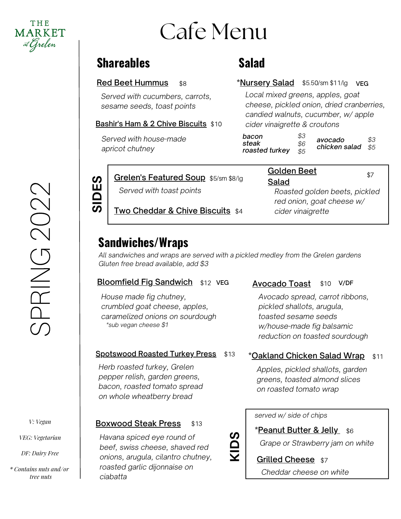

# Cafe Menu

## **Shareables**

#### Red Beet Hummus  $$8$

*Served with cucumbers, carrots, sesame seeds, toast points*

Bashir's Ham & 2 Chive Biscuits \$10

*Served with house-made apricot chutney*

# **Salad**

### \*Nursery Salad \$5.50/sm \$11/lg veg

*Local mixed greens, apples, goat cheese, pickled onion, dried cranberries, candied walnuts, cucumber, w/ apple cider vinaigrette & croutons*

| bacon<br>steak<br>roasted turkey | \$3<br>\$6<br>.55 | avocado<br>chicken salad \$5 | \$3 |
|----------------------------------|-------------------|------------------------------|-----|
|----------------------------------|-------------------|------------------------------|-----|

Golden Beet

**SID**

**ES**

## **<u>Grelen's Featured Soup</u>\_s**5/sm \$8/lg

*Served with toast points*

Salad *Roasted golden beets, pickled red onion, goat cheese w/ cider vinaigrette*

\$7

## Two Cheddar & Chive Biscuits \$4

## **Sandwiches/Wraps**

*All sandwiches and wraps are served with a pickled medley from the Grelen gardens Gluten free bread available, add \$3*

**KID**

**S**

#### **Bloomfield Fig Sandwich** \$12 VEG

*House made fig chutney, crumbled goat cheese, apples, caramelized onions on sourdough \*sub vegan cheese \$1*

#### Spotswood Roasted Turkey Press \$13

*Herb roasted turkey, Grelen pepper relish, garden greens, bacon, roasted tomato spread on whole wheatberry bread*

#### Boxwood Steak Press \$13

*Havana spiced eye round of beef, swiss cheese, shaved red onions, arugula, cilantro chutney, roasted garlic dijonnaise on ciabatta*

#### Avocado Toast \$10 \$10 V/DF

*Avocado spread, carrot ribbons, pickled shallots, arugula, toasted sesame seeds w/house-made fig balsamic reduction on toasted sourdough*

### **\*<u>Oakland Chicken Salad Wrap</u> \$11**

*Apples, pickled shallots, garden greens, toasted almond slices on roasted tomato wrap*

#### *served w/ side of chips*

**\*Peanut Butter & Jelly\_s6** *Grape or Strawberry jam on white*

**Grilled Cheese** \$7 *Cheddar cheese on white*

*V: Vegan*

*VEG: Vegetarian*

*DF: Dairy Free*

*\* Contains nuts and/or tree nuts*